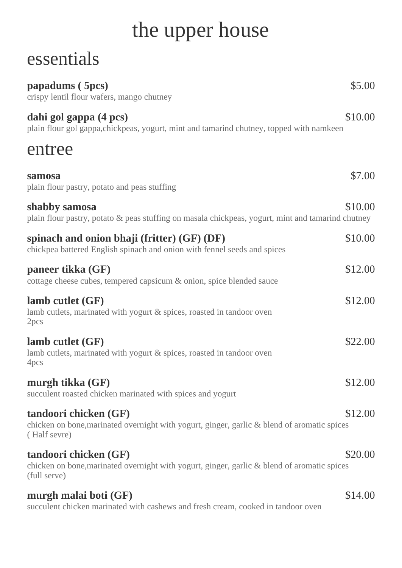## the upper house

## essentials

| papadums (5pcs)<br>crispy lentil flour wafers, mango chutney                                                                         | \$5.00  |
|--------------------------------------------------------------------------------------------------------------------------------------|---------|
| dahi gol gappa (4 pcs)<br>plain flour gol gappa, chickpeas, yogurt, mint and tamarind chutney, topped with namkeen                   | \$10.00 |
| entree                                                                                                                               |         |
| samosa<br>plain flour pastry, potato and peas stuffing                                                                               | \$7.00  |
| shabby samosa<br>plain flour pastry, potato & peas stuffing on masala chickpeas, yogurt, mint and tamarind chutney                   | \$10.00 |
| spinach and onion bhaji (fritter) $(GF)$ (DF)<br>chickpea battered English spinach and onion with fennel seeds and spices            | \$10.00 |
| paneer tikka (GF)<br>cottage cheese cubes, tempered capsicum & onion, spice blended sauce                                            | \$12.00 |
| lamb cutlet $(GF)$<br>lamb cutlets, marinated with yogurt & spices, roasted in tandoor oven<br>2pcs                                  | \$12.00 |
| lamb cutlet $(GF)$<br>lamb cutlets, marinated with yogurt & spices, roasted in tandoor oven<br>4pcs                                  | \$22.00 |
| murgh tikka (GF)<br>succulent roasted chicken marinated with spices and yogurt                                                       | \$12.00 |
| tandoori chicken (GF)<br>chicken on bone, marinated overnight with yogurt, ginger, garlic & blend of aromatic spices<br>(Half sevre) | \$12.00 |
| tandoori chicken (GF)<br>chicken on bone, marinated overnight with yogurt, ginger, garlic & blend of aromatic spices<br>(full serve) | \$20.00 |
| murgh malai boti (GF)<br>succulent chicken marinated with cashews and fresh cream, cooked in tandoor oven                            | \$14.00 |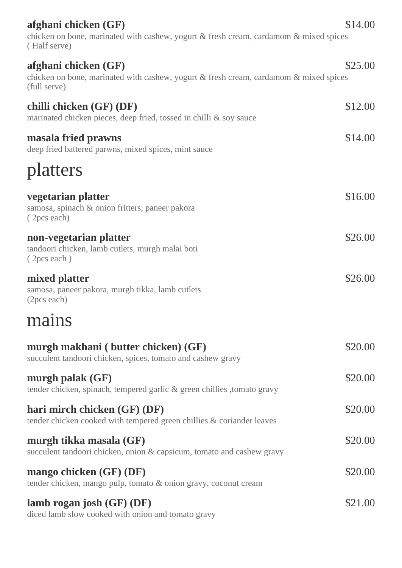| afghani chicken $(GF)$                                                                                | \$14.00 |
|-------------------------------------------------------------------------------------------------------|---------|
| chicken on bone, marinated with cashew, yogurt & fresh cream, cardamom & mixed spices<br>(Half serve) |         |
| afghani chicken $(GF)$                                                                                | \$25.00 |
| chicken on bone, marinated with cashew, yogurt & fresh cream, cardamom & mixed spices<br>(full serve) |         |
| chilli chicken (GF) (DF)                                                                              | \$12.00 |
| marinated chicken pieces, deep fried, tossed in chilli & soy sauce                                    |         |
| masala fried prawns<br>deep fried battered parwns, mixed spices, mint sauce                           | \$14.00 |
| platters                                                                                              |         |
| vegetarian platter                                                                                    | \$16.00 |
| samosa, spinach & onion fritters, paneer pakora<br>(2pcs each)                                        |         |
| non-vegetarian platter                                                                                | \$26.00 |
| tandoori chicken, lamb cutlets, murgh malai boti<br>(2pcs each)                                       |         |
| mixed platter                                                                                         | \$26.00 |
| samosa, paneer pakora, murgh tikka, lamb cutlets<br>(2pcs each)                                       |         |
| mains                                                                                                 |         |
| murgh makhani (butter chicken) (GF)                                                                   | \$20.00 |
| succulent tandoori chicken, spices, tomato and cashew gravy                                           |         |
| murgh palak $(GF)$<br>tender chicken, spinach, tempered garlic & green chillies, tomato gravy         | \$20.00 |
| hari mirch chicken (GF) (DF)                                                                          | \$20.00 |
| tender chicken cooked with tempered green chillies & coriander leaves                                 |         |
| murgh tikka masala (GF)<br>succulent tandoori chicken, onion & capsicum, tomato and cashew gravy      | \$20.00 |
| mango chicken $(GF)$ (DF)                                                                             | \$20.00 |
| tender chicken, mango pulp, tomato & onion gravy, coconut cream                                       |         |
| lamb rogan josh $(GF)$ (DF)<br>diced lamb slow cooked with onion and tomato gravy                     | \$21.00 |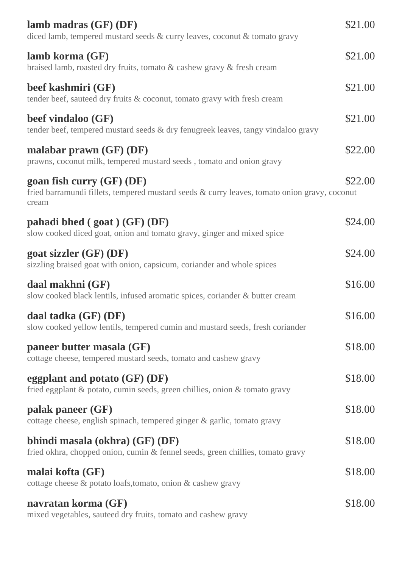| lamb madras $(GF)$ $(DF)$<br>diced lamb, tempered mustard seeds & curry leaves, coconut & tomato gravy                                 | \$21.00 |
|----------------------------------------------------------------------------------------------------------------------------------------|---------|
| lamb korma (GF)<br>braised lamb, roasted dry fruits, tomato & cashew gravy & fresh cream                                               | \$21.00 |
| beef kashmiri (GF)<br>tender beef, sauteed dry fruits & coconut, tomato gravy with fresh cream                                         | \$21.00 |
| beef vindaloo (GF)<br>tender beef, tempered mustard seeds & dry fenugreek leaves, tangy vindaloo gravy                                 | \$21.00 |
| malabar prawn $(GF)$ $(DF)$<br>prawns, coconut milk, tempered mustard seeds, tomato and onion gravy                                    | \$22.00 |
| goan fish curry $(GF)$ $(DF)$<br>fried barramundi fillets, tempered mustard seeds & curry leaves, tomato onion gravy, coconut<br>cream | \$22.00 |
| pahadi bhed $(goat)$ $(GF)$ $(DF)$<br>slow cooked diced goat, onion and tomato gravy, ginger and mixed spice                           | \$24.00 |
| goat sizzler $(GF)$ $(DF)$<br>sizzling braised goat with onion, capsicum, coriander and whole spices                                   | \$24.00 |
| daal makhni (GF)<br>slow cooked black lentils, infused aromatic spices, coriander & butter cream                                       | \$16.00 |
| daal tadka (GF) (DF)<br>slow cooked yellow lentils, tempered cumin and mustard seeds, fresh coriander                                  | \$16.00 |
| paneer butter masala (GF)<br>cottage cheese, tempered mustard seeds, tomato and cashew gravy                                           | \$18.00 |
| eggplant and potato $(GF)$ (DF)<br>fried eggplant & potato, cumin seeds, green chillies, onion & tomato gravy                          | \$18.00 |
| palak paneer (GF)<br>cottage cheese, english spinach, tempered ginger & garlic, tomato gravy                                           | \$18.00 |
| bhindi masala (okhra) (GF) (DF)<br>fried okhra, chopped onion, cumin & fennel seeds, green chillies, tomato gravy                      | \$18.00 |
| malai kofta (GF)<br>cottage cheese & potato loafs, tomato, onion & cashew gravy                                                        | \$18.00 |
| navratan korma (GF)<br>mixed vegetables, sauteed dry fruits, tomato and cashew gravy                                                   | \$18.00 |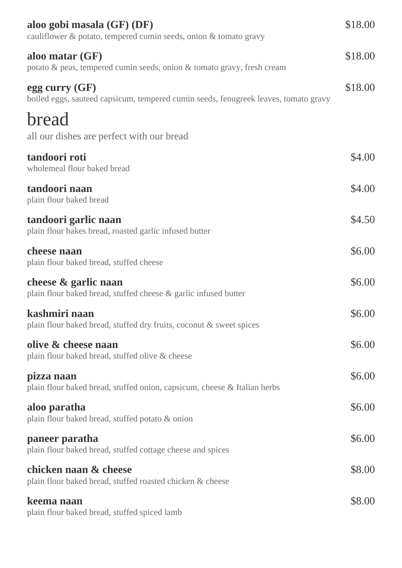| aloo gobi masala (GF) (DF)<br>cauliflower & potato, tempered cumin seeds, onion & tomato gravy        | \$18.00 |
|-------------------------------------------------------------------------------------------------------|---------|
| aloo matar $(GF)$<br>potato & peas, tempered cumin seeds, onion & tomato gravy, fresh cream           | \$18.00 |
| egg curry (GF)<br>boiled eggs, sauteed capsicum, tempered cumin seeds, fenugreek leaves, tomato gravy | \$18.00 |
| bread<br>all our dishes are perfect with our bread                                                    |         |
| tandoori roti<br>wholemeal flour baked bread                                                          | \$4.00  |
| tandoori naan<br>plain flour baked bread                                                              | \$4.00  |
| tandoori garlic naan<br>plain flour bakes bread, roasted garlic infused butter                        | \$4.50  |
| cheese naan<br>plain flour baked bread, stuffed cheese                                                | \$6.00  |
| cheese & garlic naan<br>plain flour baked bread, stuffed cheese & garlic infused butter               | \$6.00  |
| kashmiri naan<br>plain flour baked bread, stuffed dry fruits, coconut & sweet spices                  | \$6.00  |
| olive & cheese naan<br>plain flour baked bread, stuffed olive & cheese                                | \$6.00  |
| pizza naan<br>plain flour baked bread, stuffed onion, capsicum, cheese & Italian herbs                | \$6.00  |
| aloo paratha<br>plain flour baked bread, stuffed potato & onion                                       | \$6.00  |
| paneer paratha<br>plain flour baked bread, stuffed cottage cheese and spices                          | \$6.00  |
| chicken naan & cheese<br>plain flour baked bread, stuffed roasted chicken & cheese                    | \$8.00  |
| keema naan<br>plain flour baked bread, stuffed spiced lamb                                            | \$8.00  |